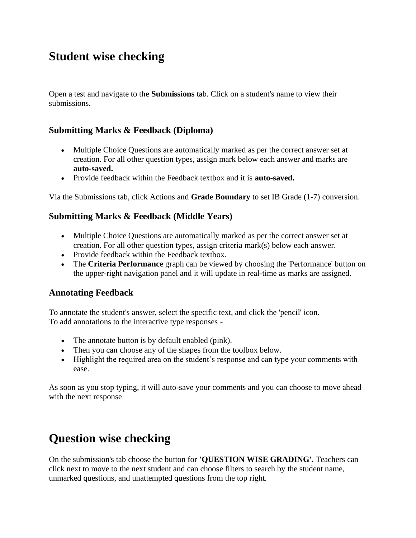## **Student wise checking**

Open a test and navigate to the **Submissions** tab. Click on a student's name to view their submissions.

### **Submitting Marks & Feedback (Diploma)**

- Multiple Choice Questions are automatically marked as per the correct answer set at creation. For all other question types, assign mark below each answer and marks are **auto-saved.**
- Provide feedback within the Feedback textbox and it is **auto-saved.**

Via the Submissions tab, click Actions and **Grade Boundary** to set IB Grade (1-7) conversion.

### **Submitting Marks & Feedback (Middle Years)**

- Multiple Choice Questions are automatically marked as per the correct answer set at creation. For all other question types, assign criteria mark(s) below each answer.
- Provide feedback within the Feedback textbox.
- The **Criteria Performance** graph can be viewed by choosing the 'Performance' button on the upper-right navigation panel and it will update in real-time as marks are assigned.

### **Annotating Feedback**

To annotate the student's answer, select the specific text, and click the 'pencil' icon. To add annotations to the interactive type responses -

- The annotate button is by default enabled (pink).
- Then you can choose any of the shapes from the toolbox below.
- Highlight the required area on the student's response and can type your comments with ease.

As soon as you stop typing, it will auto-save your comments and you can choose to move ahead with the next response

## **Question wise checking**

On the submission's tab choose the button for **'QUESTION WISE GRADING'.** Teachers can click next to move to the next student and can choose filters to search by the student name, unmarked questions, and unattempted questions from the top right.